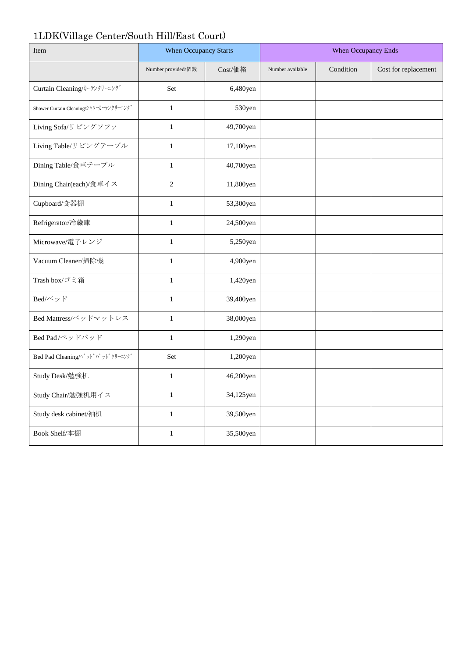## 1LDK(Village Center/South Hill/East Court)

| Item                                   | When Occupancy Starts |           | When Occupancy Ends |           |                      |
|----------------------------------------|-----------------------|-----------|---------------------|-----------|----------------------|
|                                        | Number provided/個数    | Cost/価格   | Number available    | Condition | Cost for replacement |
| Curtain Cleaning/カーテンクリーニング            | Set                   | 6,480yen  |                     |           |                      |
| Shower Curtain Cleaning/シャワーカーテンクリーニング | $\,1\,$               | 530yen    |                     |           |                      |
| Living Sofa/リビングソファ                    | $\mathbf{1}$          | 49,700yen |                     |           |                      |
| Living Table/リビングテーブル                  | $\mathbf{1}$          | 17,100yen |                     |           |                      |
| Dining Table/食卓テーブル                    | $\mathbf{1}$          | 40,700yen |                     |           |                      |
| Dining Chair(each)/食卓イス                | $\sqrt{2}$            | 11,800yen |                     |           |                      |
| Cupboard/食器棚                           | $\mathbf 1$           | 53,300yen |                     |           |                      |
| Refrigerator/冷蔵庫                       | $\mathbf 1$           | 24,500yen |                     |           |                      |
| Microwave/電子レンジ                        | $\mathbf{1}$          | 5,250yen  |                     |           |                      |
| Vacuum Cleaner/掃除機                     | $\mathbf{1}$          | 4,900yen  |                     |           |                      |
| Trash box/ゴミ箱                          | $\mathbf{1}$          | 1,420yen  |                     |           |                      |
| Bed/ベッド                                | $\mathbf 1$           | 39,400yen |                     |           |                      |
| Bed Mattress/ベッドマットレス                  | $\,1\,$               | 38,000yen |                     |           |                      |
| Bed Pad/ベッドパッド                         | $\mathbf{1}$          | 1,290yen  |                     |           |                      |
| Bed Pad Cleaning/ベッドパッドクリーニング          | Set                   | 1,200yen  |                     |           |                      |
| Study Desk/勉強机                         | $\mathbf{1}$          | 46,200yen |                     |           |                      |
| Study Chair/勉強机用イス                     | $\mathbf{1}$          | 34,125yen |                     |           |                      |
| Study desk cabinet/袖机                  | $\mathbf 1$           | 39,500yen |                     |           |                      |
| Book Shelf/本棚                          | $\mathbf{1}$          | 35,500yen |                     |           |                      |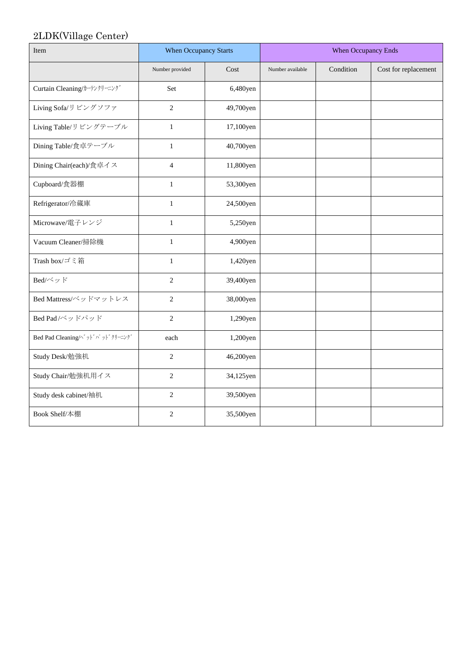## 2LDK(Village Center)

| Item                           | <b>When Occupancy Starts</b> |           | When Occupancy Ends |           |                      |
|--------------------------------|------------------------------|-----------|---------------------|-----------|----------------------|
|                                | Number provided              | Cost      | Number available    | Condition | Cost for replacement |
| Curtain Cleaning/カーテンクリーニング    | Set                          | 6,480yen  |                     |           |                      |
| Living Sofa/リビングソファ            | $\overline{2}$               | 49,700yen |                     |           |                      |
| Living Table/リビングテーブル          | $\mathbf{1}$                 | 17,100yen |                     |           |                      |
| Dining Table/食卓テーブル            | $\mathbf{1}$                 | 40,700yen |                     |           |                      |
| Dining Chair(each)/食卓イス        | $\overline{4}$               | 11,800yen |                     |           |                      |
| Cupboard/食器棚                   | $\mathbf{1}$                 | 53,300yen |                     |           |                      |
| Refrigerator/冷蔵庫               | $\mathbf{1}$                 | 24,500yen |                     |           |                      |
| Microwave/電子レンジ                | $\mathbf{1}$                 | 5,250yen  |                     |           |                      |
| Vacuum Cleaner/掃除機             | $\mathbf{1}$                 | 4,900yen  |                     |           |                      |
| Trash box/ゴミ箱                  | $\mathbf{1}$                 | 1,420yen  |                     |           |                      |
| Bed/ベッド                        | $\overline{2}$               | 39,400yen |                     |           |                      |
| Bed Mattress/ベッドマットレス          | $\overline{2}$               | 38,000yen |                     |           |                      |
| Bed Pad/ベッドパッド                 | $\overline{c}$               | 1,290yen  |                     |           |                      |
| Bed Pad Cleaning/^゙ッドパッドクリーニング | each                         | 1,200yen  |                     |           |                      |
| Study Desk/勉強机                 | $\overline{2}$               | 46,200yen |                     |           |                      |
| Study Chair/勉強机用イス             | $\overline{c}$               | 34,125yen |                     |           |                      |
| Study desk cabinet/袖机          | $\overline{c}$               | 39,500yen |                     |           |                      |
| Book Shelf/本棚                  | $\overline{c}$               | 35,500yen |                     |           |                      |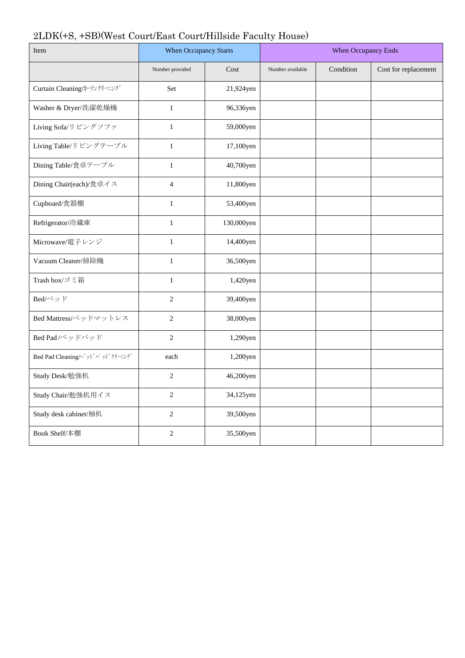## 2LDK(+S, +SB)(West Court/East Court/Hillside Faculty House)

| Item                           | When Occupancy Starts |            | When Occupancy Ends |           |                      |
|--------------------------------|-----------------------|------------|---------------------|-----------|----------------------|
|                                | Number provided       | Cost       | Number available    | Condition | Cost for replacement |
| Curtain Cleaning/カーテンクリーニング    | Set                   | 21,924yen  |                     |           |                      |
| Washer & Dryer/洗濯乾燥機           | $\mathbf 1$           | 96,336yen  |                     |           |                      |
| Living Sofa/リビングソファ            | $\mathbf{1}$          | 59,000yen  |                     |           |                      |
| Living Table/リビングテーブル          | $\mathbf{1}$          | 17,100yen  |                     |           |                      |
| Dining Table/食卓テーブル            | $\mathbf{1}$          | 40,700yen  |                     |           |                      |
| Dining Chair(each)/食卓イス        | $\overline{4}$        | 11,800yen  |                     |           |                      |
| Cupboard/食器棚                   | $\mathbf 1$           | 53,400yen  |                     |           |                      |
| Refrigerator/冷蔵庫               | $\mathbf{1}$          | 130,000yen |                     |           |                      |
| Microwave/電子レンジ                | $\mathbf{1}$          | 14,400yen  |                     |           |                      |
| Vacuum Cleaner/掃除機             | $\mathbf{1}$          | 36,500yen  |                     |           |                      |
| Trash box/ゴミ箱                  | $\mathbf{1}$          | 1,420yen   |                     |           |                      |
| Bed/ベッド                        | $\overline{2}$        | 39,400yen  |                     |           |                      |
| Bed Mattress/ベッドマットレス          | $\overline{c}$        | 38,000yen  |                     |           |                      |
| Bed Pad/ベッドパッド                 | $\overline{2}$        | 1,290yen   |                     |           |                      |
| Bed Pad Cleaning/^゙ッドパッドクリーニング | each                  | 1,200yen   |                     |           |                      |
| Study Desk/勉強机                 | $\overline{c}$        | 46,200yen  |                     |           |                      |
| Study Chair/勉強机用イス             | $\overline{2}$        | 34,125yen  |                     |           |                      |
| Study desk cabinet/袖机          | $\sqrt{2}$            | 39,500yen  |                     |           |                      |
| Book Shelf/本棚                  | $\overline{2}$        | 35,500yen  |                     |           |                      |